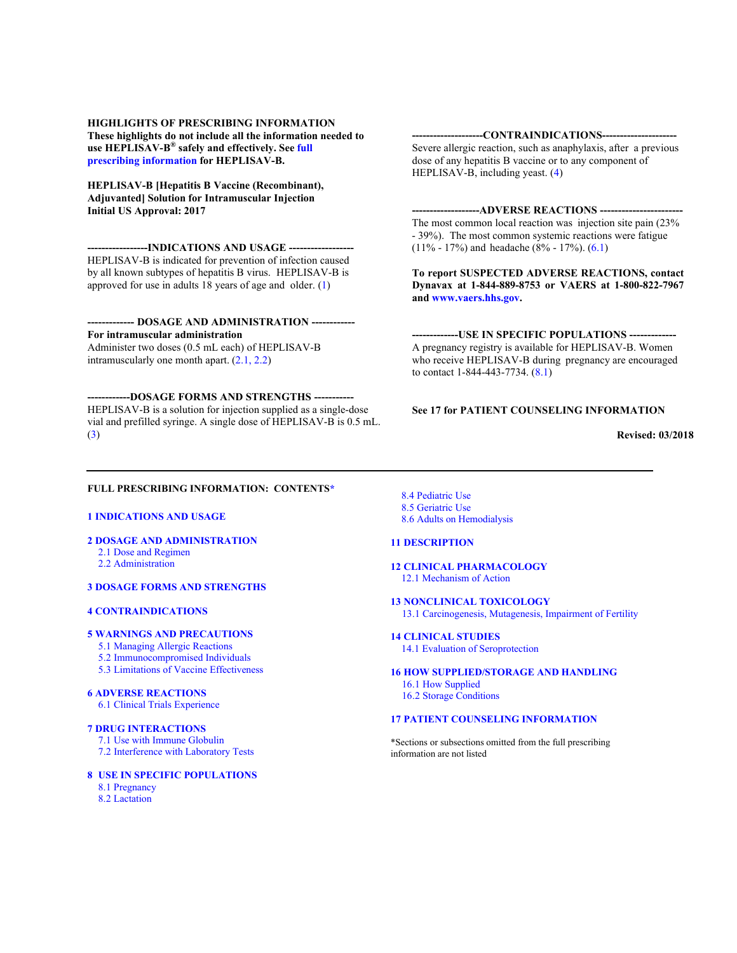**HIGHLIGHTS OF PRESCRIBING INFORMATION These highlights do not include all the information needed to use HEPLISAV-B® safely and effectively. See full prescribing information for HEPLISAV-B.**

**HEPLISAV-B [Hepatitis B Vaccine (Recombinant), Adjuvanted] Solution for Intramuscular Injection Initial US Approval: 2017**

**-----------------INDICATIONS AND USAGE ------------------** HEPLISAV-B is indicated for prevention of infection caused by all known subtypes of hepatitis B virus. HEPLISAV-B is approved for use in adults 18 years of age and older. (1)

**------------- DOSAGE AND ADMINISTRATION ------------ For intramuscular administration**  Administer two doses (0.5 mL each) of HEPLISAV-B intramuscularly one month apart. (2.1, 2.2)

**------------DOSAGE FORMS AND STRENGTHS -----------** HEPLISAV-B is a solution for injection supplied as a single-dose vial and prefilled syringe. A single dose of HEPLISAV-B is 0.5 mL. (3)

### **--------------------CONTRAINDICATIONS---------------------**

Severe allergic reaction, such as anaphylaxis, after a previous dose of any hepatitis B vaccine or to any component of HEPLISAV-B, including yeast. (4)

#### **-------------------ADVERSE REACTIONS -----------------------**

The most common local reaction was injection site pain (23% - 39%). The most common systemic reactions were fatigue (11% - 17%) and headache (8% - 17%). (6.1)

**To report SUSPECTED ADVERSE REACTIONS, contact Dynavax at 1-844-889-8753 or VAERS at 1-800-822-7967 and www.vaers.hhs.gov.**

**-------------USE IN SPECIFIC POPULATIONS -------------** A pregnancy registry is available for HEPLISAV-B. Women who receive HEPLISAV-B during pregnancy are encouraged to contact 1-844-443-7734. (8.1)

#### **See 17 for PATIENT COUNSELING INFORMATION**

**Revised: 03/2018**

## **FULL PRESCRIBING INFORMATION: CONTENTS\***

## **1 INDICATIONS AND USAGE**

**2 DOSAGE AND ADMINISTRATION** 2.1 Dose and Regimen

2.2 Administration

#### **3 DOSAGE FORMS AND STRENGTHS**

#### **4 CONTRAINDICATIONS**

#### **5 WARNINGS AND PRECAUTIONS**

- 5.1 Managing Allergic Reactions
- 5.2 Immunocompromised Individuals
- 5.3 Limitations of Vaccine Effectiveness

#### **6 ADVERSE REACTIONS**

6.1 Clinical Trials Experience

#### **7 DRUG INTERACTIONS**

7.1 Use with Immune Globulin 7.2 Interference with Laboratory Tests

#### **8 USE IN SPECIFIC POPULATIONS** 8.1 Pregnancy

8.2 Lactation

8.4 Pediatric Use 8.5 Geriatric Use 8.6 Adults on Hemodialysis

#### **11 DESCRIPTION**

# **12 CLINICAL PHARMACOLOGY**

12.1 Mechanism of Action

- **13 NONCLINICAL TOXICOLOGY** 13.1 Carcinogenesis, Mutagenesis, Impairment of Fertility
	-

#### **14 CLINICAL STUDIES** 14.1 Evaluation of Seroprotection

#### **16 HOW SUPPLIED/STORAGE AND HANDLING** 16.1 How Supplied

16.2 Storage Conditions

# **17 PATIENT COUNSELING INFORMATION**

\*Sections or subsections omitted from the full prescribing information are not listed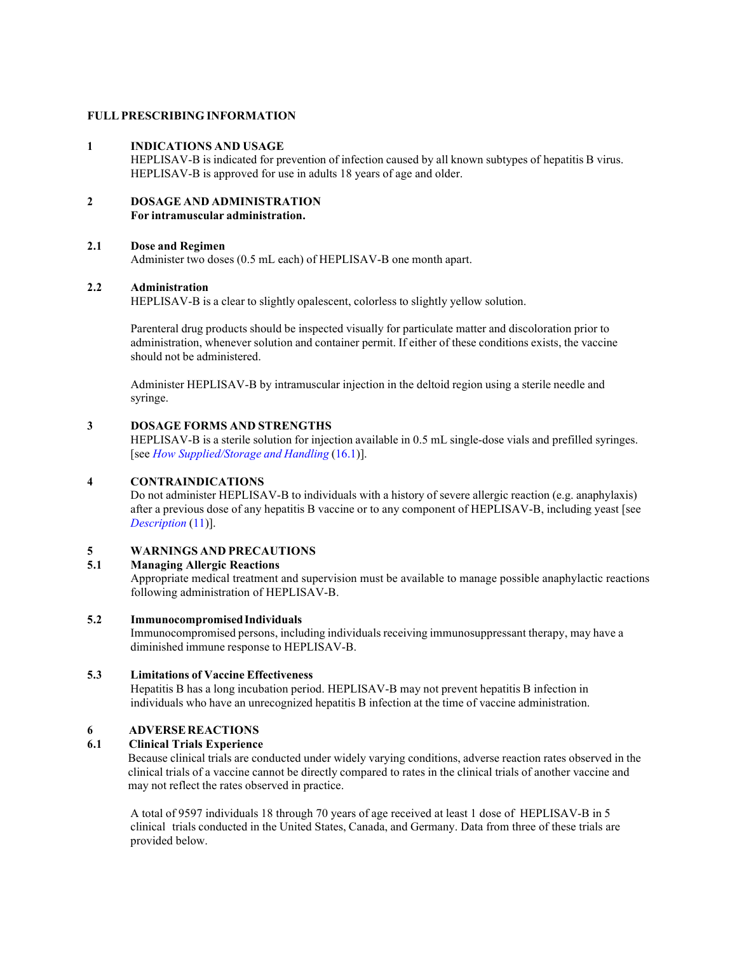## **FULLPRESCRIBING INFORMATION**

#### **1 INDICATIONS AND USAGE**

HEPLISAV-B is indicated for prevention of infection caused by all known subtypes of hepatitis B virus. HEPLISAV-B is approved for use in adults 18 years of age and older.

#### **2 DOSAGE AND ADMINISTRATION For intramuscular administration.**

## **2.1 Dose and Regimen**

Administer two doses (0.5 mL each) of HEPLISAV-B one month apart.

## **2.2 Administration**

HEPLISAV-B is a clear to slightly opalescent, colorless to slightly yellow solution.

Parenteral drug products should be inspected visually for particulate matter and discoloration prior to administration, whenever solution and container permit. If either of these conditions exists, the vaccine should not be administered.

Administer HEPLISAV-B by intramuscular injection in the deltoid region using a sterile needle and syringe.

## **3 DOSAGE FORMS AND STRENGTHS**

HEPLISAV-B is a sterile solution for injection available in 0.5 mL single-dose vials and prefilled syringes. [see *How Supplied/Storage and Handling* (16.1)].

## **4 CONTRAINDICATIONS**

Do not administer HEPLISAV-B to individuals with a history of severe allergic reaction (e.g. anaphylaxis) after a previous dose of any hepatitis B vaccine or to any component of HEPLISAV-B, including yeast [see *Description* (11)].

# **5 WARNINGS AND PRECAUTIONS**

# **5.1 Managing Allergic Reactions**

Appropriate medical treatment and supervision must be available to manage possible anaphylactic reactions following administration of HEPLISAV-B.

#### **5.2 ImmunocompromisedIndividuals**

Immunocompromised persons, including individuals receiving immunosuppressant therapy, may have a diminished immune response to HEPLISAV-B.

## **5.3 Limitations of Vaccine Effectiveness**

Hepatitis B has a long incubation period. HEPLISAV-B may not prevent hepatitis B infection in individuals who have an unrecognized hepatitis B infection at the time of vaccine administration.

## **6 ADVERSEREACTIONS**

## **6.1 Clinical Trials Experience**

Because clinical trials are conducted under widely varying conditions, adverse reaction rates observed in the clinical trials of a vaccine cannot be directly compared to rates in the clinical trials of another vaccine and may not reflect the rates observed in practice.

A total of 9597 individuals 18 through 70 years of age received at least 1 dose of HEPLISAV-B in 5 clinical trials conducted in the United States, Canada, and Germany. Data from three of these trials are provided below.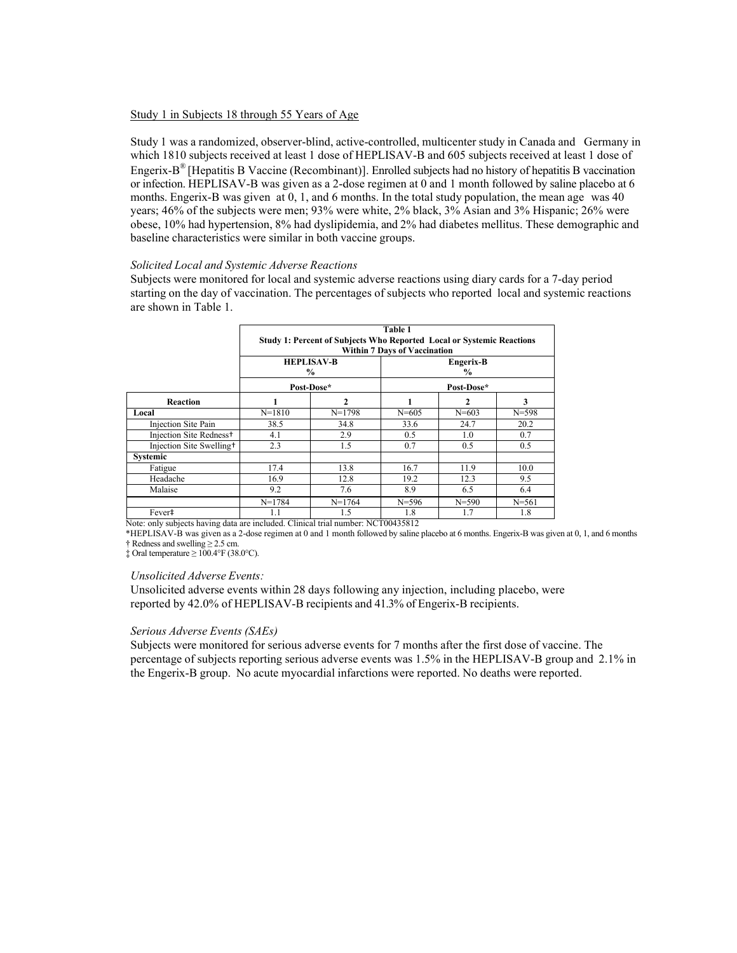## Study 1 in Subjects 18 through 55 Years of Age

Study 1 was a randomized, observer-blind, active-controlled, multicenter study in Canada and Germany in which 1810 subjects received at least 1 dose of HEPLISAV-B and 605 subjects received at least 1 dose of Engerix-B® [Hepatitis B Vaccine (Recombinant)]. Enrolled subjects had no history of hepatitis B vaccination or infection. HEPLISAV-B was given as a 2-dose regimen at 0 and 1 month followed by saline placebo at 6 months. Engerix-B was given at 0, 1, and 6 months. In the total study population, the mean age was 40 years; 46% of the subjects were men; 93% were white, 2% black, 3% Asian and 3% Hispanic; 26% were obese, 10% had hypertension, 8% had dyslipidemia, and 2% had diabetes mellitus. These demographic and baseline characteristics were similar in both vaccine groups.

#### *Solicited Local and Systemic Adverse Reactions*

Subjects were monitored for local and systemic adverse reactions using diary cards for a 7-day period starting on the day of vaccination. The percentages of subjects who reported local and systemic reactions are shown in Table 1.

|                                      | Table 1<br><b>Study 1: Percent of Subjects Who Reported Local or Systemic Reactions</b><br><b>Within 7 Days of Vaccination</b> |          |                            |           |           |
|--------------------------------------|--------------------------------------------------------------------------------------------------------------------------------|----------|----------------------------|-----------|-----------|
|                                      | <b>HEPLISAV-B</b><br>$\frac{6}{9}$                                                                                             |          | Engerix-B<br>$\frac{6}{9}$ |           |           |
|                                      | Post-Dose*                                                                                                                     |          | Post-Dose*                 |           |           |
| Reaction                             |                                                                                                                                |          |                            |           | 3         |
| Local                                | $N = 1810$                                                                                                                     | $N=1798$ | $N = 605$                  | $N = 603$ | $N = 598$ |
| Injection Site Pain                  | 38.5                                                                                                                           | 34.8     | 33.6                       | 24.7      | 20.2      |
| Injection Site Redness <sup>+</sup>  | 4.1                                                                                                                            | 2.9      | 0.5                        | 1.0       | 0.7       |
| Injection Site Swelling <sup>+</sup> | 2.3                                                                                                                            | 1.5      | 0.7                        | 0.5       | 0.5       |
| Systemic                             |                                                                                                                                |          |                            |           |           |
| Fatigue                              | 17.4                                                                                                                           | 13.8     | 16.7                       | 11.9      | 10.0      |
| Headache                             | 16.9                                                                                                                           | 12.8     | 19.2                       | 12.3      | 9.5       |
| Malaise                              | 9.2                                                                                                                            | 7.6      | 8.9                        | 6.5       | 6.4       |
|                                      | $N=1784$                                                                                                                       | $N=1764$ | $N = 596$                  | $N = 590$ | $N = 561$ |
| Fever#                               | 1.1                                                                                                                            | 1.5      | 1.8                        | 1.7       | 1.8       |

Note: only subjects having data are included. Clinical trial number: NCT00435812

\*HEPLISAV-B was given as a 2-dose regimen at 0 and 1 month followed by saline placebo at 6 months. Engerix-B was given at 0, 1, and 6 months † Redness and swelling ≥ 2.5 cm.

 $\pm$  Oral temperature  $\geq 100.4$ °F (38.0°C).

#### *Unsolicited Adverse Events:*

Unsolicited adverse events within 28 days following any injection, including placebo, were reported by 42.0% of HEPLISAV-B recipients and 41.3% of Engerix-B recipients.

#### *Serious Adverse Events (SAEs)*

Subjects were monitored for serious adverse events for 7 months after the first dose of vaccine. The percentage of subjects reporting serious adverse events was 1.5% in the HEPLISAV-B group and 2.1% in the Engerix-B group. No acute myocardial infarctions were reported. No deaths were reported.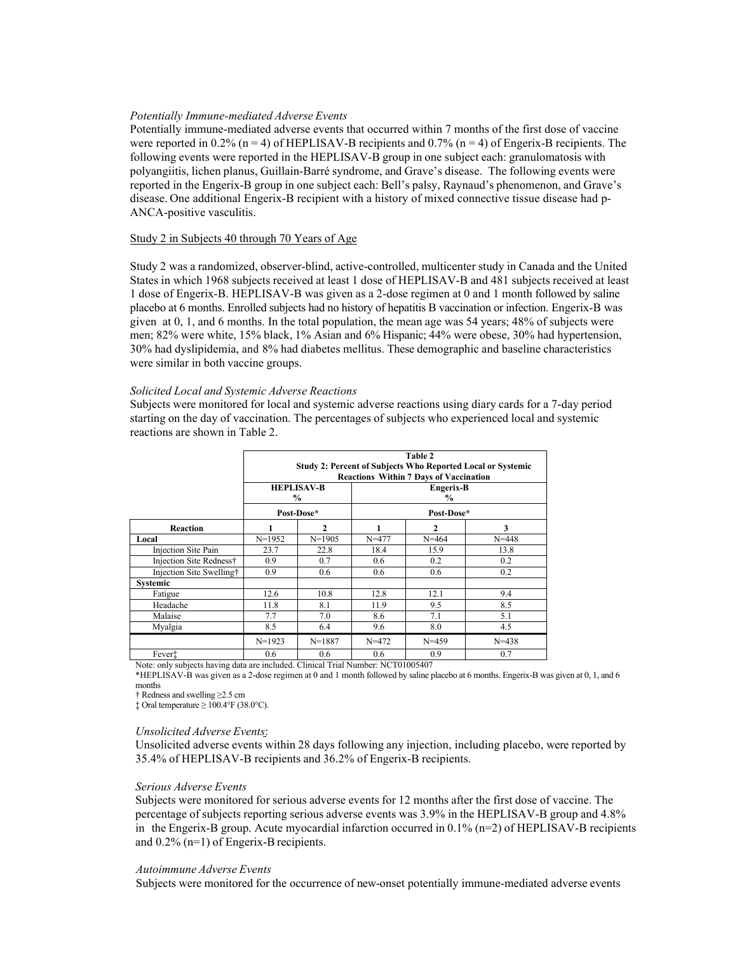#### *Potentially Immune-mediated Adverse Events*

Potentially immune-mediated adverse events that occurred within 7 months of the first dose of vaccine were reported in 0.2% ( $n = 4$ ) of HEPLISAV-B recipients and 0.7% ( $n = 4$ ) of Engerix-B recipients. The following events were reported in the HEPLISAV-B group in one subject each: granulomatosis with polyangiitis, lichen planus, Guillain-Barré syndrome, and Grave's disease. The following events were reported in the Engerix-B group in one subject each: Bell's palsy, Raynaud's phenomenon, and Grave's disease. One additional Engerix-B recipient with a history of mixed connective tissue disease had p-ANCA-positive vasculitis.

## Study 2 in Subjects 40 through 70 Years of Age

Study 2 was a randomized, observer-blind, active-controlled, multicenter study in Canada and the United States in which 1968 subjects received at least 1 dose of HEPLISAV-B and 481 subjects received at least 1 dose of Engerix-B. HEPLISAV-B was given as a 2-dose regimen at 0 and 1 month followed by saline placebo at 6 months. Enrolled subjects had no history of hepatitis B vaccination or infection. Engerix-B was given at 0, 1, and 6 months. In the total population, the mean age was 54 years; 48% of subjects were men; 82% were white, 15% black, 1% Asian and 6% Hispanic; 44% were obese, 30% had hypertension, 30% had dyslipidemia, and 8% had diabetes mellitus. These demographic and baseline characteristics were similar in both vaccine groups.

#### *Solicited Local and Systemic Adverse Reactions*

Subjects were monitored for local and systemic adverse reactions using diary cards for a 7-day period starting on the day of vaccination. The percentages of subjects who experienced local and systemic reactions are shown in Table 2.

|                          | Table 2<br><b>Study 2: Percent of Subjects Who Reported Local or Systemic</b><br><b>Reactions Within 7 Days of Vaccination</b><br><b>HEPLISAV-B</b><br>Engerix-B<br>$\%$<br>$\frac{6}{10}$ |              |           |              |           |
|--------------------------|--------------------------------------------------------------------------------------------------------------------------------------------------------------------------------------------|--------------|-----------|--------------|-----------|
|                          | Post-Dose*<br>Post-Dose*                                                                                                                                                                   |              |           |              |           |
| Reaction                 |                                                                                                                                                                                            | $\mathbf{2}$ | 1         | $\mathbf{2}$ | 3         |
| Local                    | $N=1952$                                                                                                                                                                                   | $N = 1905$   | $N = 477$ | $N = 464$    | $N = 448$ |
| Injection Site Pain      | 23.7                                                                                                                                                                                       | 22.8         | 18.4      | 15.9         | 13.8      |
| Injection Site Redness†  | 0.9                                                                                                                                                                                        | 0.7          | 0.6       | 0.2          | 0.2       |
| Injection Site Swelling† | 0.9                                                                                                                                                                                        | 0.6          | 0.6       | 0.6          | 0.2       |
| <b>Systemic</b>          |                                                                                                                                                                                            |              |           |              |           |
| Fatigue                  | 12.6                                                                                                                                                                                       | 10.8         | 12.8      | 12.1         | 9.4       |
| Headache                 | 11.8                                                                                                                                                                                       | 8.1          | 11.9      | 9.5          | 8.5       |
| Malaise                  | 7.7                                                                                                                                                                                        | 7.0          | 8.6       | 7.1          | 5.1       |
| Myalgia                  | 8.5                                                                                                                                                                                        | 6.4          | 9.6       | 8.0          | 4.5       |
|                          | $N=1923$                                                                                                                                                                                   | $N = 1887$   | $N = 472$ | $N = 459$    | $N = 438$ |
| Fever <sup>†</sup>       | 0.6                                                                                                                                                                                        | 0.6          | 0.6       | 0.9          | 0.7       |

Note: only subjects having data are included. Clinical Trial Number: NCT01005407

\*HEPLISAV-B was given as a 2-dose regimen at 0 and 1 month followed by saline placebo at 6 months. Engerix-B was given at 0, 1, and 6 months

† Redness and swelling ≥2.5 cm

 $\pm$  Oral temperature  $\geq 100.4$ °F (38.0°C).

#### *Unsolicited Adverse Events*:

Unsolicited adverse events within 28 days following any injection, including placebo, were reported by 35.4% of HEPLISAV-B recipients and 36.2% of Engerix-B recipients.

#### *Serious Adverse Events*

Subjects were monitored for serious adverse events for 12 months after the first dose of vaccine. The percentage of subjects reporting serious adverse events was 3.9% in the HEPLISAV-B group and 4.8% in the Engerix-B group. Acute myocardial infarction occurred in 0.1% (n=2) of HEPLISAV-B recipients and 0.2% (n=1) of Engerix-B recipients.

#### *Autoimmune Adverse Events*

Subjects were monitored for the occurrence of new-onset potentially immune-mediated adverse events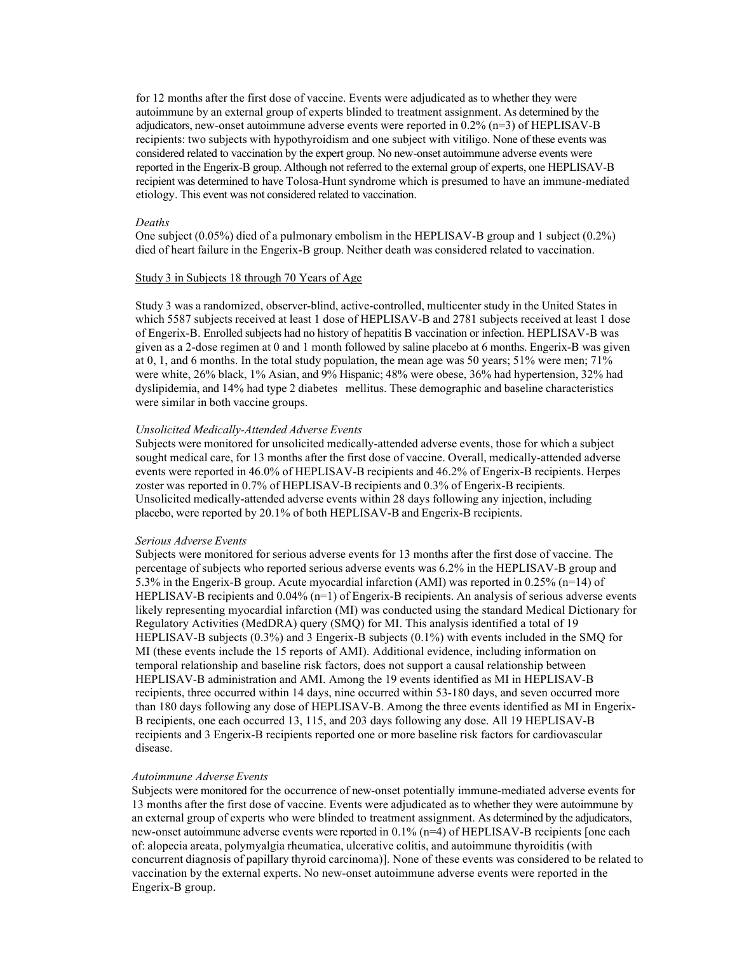for 12 months after the first dose of vaccine. Events were adjudicated as to whether they were autoimmune by an external group of experts blinded to treatment assignment. As determined by the adjudicators, new-onset autoimmune adverse events were reported in 0.2% (n=3) of HEPLISAV-B recipients: two subjects with hypothyroidism and one subject with vitiligo. None of these events was considered related to vaccination by the expert group. No new-onset autoimmune adverse events were reported in the Engerix-B group. Although not referred to the external group of experts, one HEPLISAV-B recipient was determined to have Tolosa-Hunt syndrome which is presumed to have an immune-mediated etiology. This event was not considered related to vaccination.

#### *Deaths*

One subject (0.05%) died of a pulmonary embolism in the HEPLISAV-B group and 1 subject (0.2%) died of heart failure in the Engerix-B group. Neither death was considered related to vaccination.

## Study 3 in Subjects 18 through 70 Years of Age

Study 3 was a randomized, observer-blind, active-controlled, multicenter study in the United States in which 5587 subjects received at least 1 dose of HEPLISAV-B and 2781 subjects received at least 1 dose of Engerix-B. Enrolled subjects had no history of hepatitis B vaccination or infection. HEPLISAV-B was given as a 2-dose regimen at 0 and 1 month followed by saline placebo at 6 months. Engerix-B was given at 0, 1, and 6 months. In the total study population, the mean age was 50 years; 51% were men; 71% were white, 26% black, 1% Asian, and 9% Hispanic; 48% were obese, 36% had hypertension, 32% had dyslipidemia, and 14% had type 2 diabetes mellitus. These demographic and baseline characteristics were similar in both vaccine groups.

#### *Unsolicited Medically-Attended Adverse Events*

Subjects were monitored for unsolicited medically-attended adverse events, those for which a subject sought medical care, for 13 months after the first dose of vaccine. Overall, medically-attended adverse events were reported in 46.0% of HEPLISAV-B recipients and 46.2% of Engerix-B recipients. Herpes zoster was reported in 0.7% of HEPLISAV-B recipients and 0.3% of Engerix-B recipients. Unsolicited medically-attended adverse events within 28 days following any injection, including placebo, were reported by 20.1% of both HEPLISAV-B and Engerix-B recipients.

#### *Serious Adverse Events*

Subjects were monitored for serious adverse events for 13 months after the first dose of vaccine. The percentage of subjects who reported serious adverse events was 6.2% in the HEPLISAV-B group and 5.3% in the Engerix-B group. Acute myocardial infarction (AMI) was reported in 0.25% (n=14) of HEPLISAV-B recipients and 0.04% (n=1) of Engerix-B recipients. An analysis of serious adverse events likely representing myocardial infarction (MI) was conducted using the standard Medical Dictionary for Regulatory Activities (MedDRA) query (SMQ) for MI. This analysis identified a total of 19 HEPLISAV-B subjects (0.3%) and 3 Engerix-B subjects (0.1%) with events included in the SMQ for MI (these events include the 15 reports of AMI). Additional evidence, including information on temporal relationship and baseline risk factors, does not support a causal relationship between HEPLISAV-B administration and AMI. Among the 19 events identified as MI in HEPLISAV-B recipients, three occurred within 14 days, nine occurred within 53-180 days, and seven occurred more than 180 days following any dose of HEPLISAV-B. Among the three events identified as MI in Engerix-B recipients, one each occurred 13, 115, and 203 days following any dose. All 19 HEPLISAV-B recipients and 3 Engerix-B recipients reported one or more baseline risk factors for cardiovascular disease.

#### *Autoimmune Adverse Events*

Subjects were monitored for the occurrence of new-onset potentially immune-mediated adverse events for 13 months after the first dose of vaccine. Events were adjudicated as to whether they were autoimmune by an external group of experts who were blinded to treatment assignment. As determined by the adjudicators, new-onset autoimmune adverse events were reported in 0.1% (n=4) of HEPLISAV-B recipients [one each of: alopecia areata, polymyalgia rheumatica, ulcerative colitis, and autoimmune thyroiditis (with concurrent diagnosis of papillary thyroid carcinoma)]. None of these events was considered to be related to vaccination by the external experts. No new-onset autoimmune adverse events were reported in the Engerix-B group.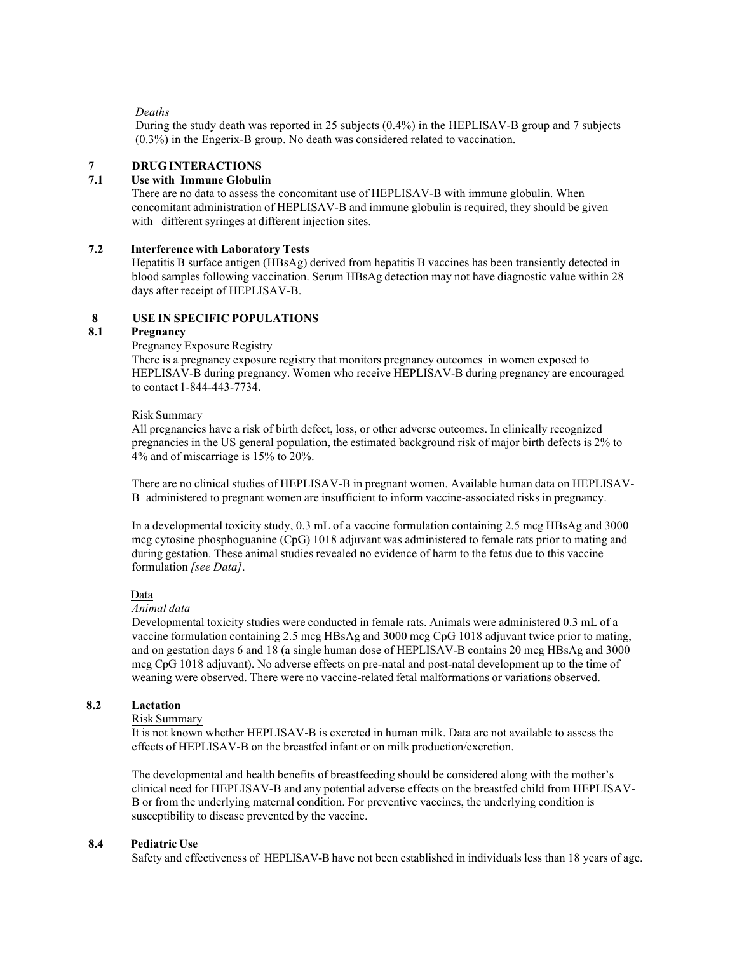### *Deaths*

During the study death was reported in 25 subjects (0.4%) in the HEPLISAV-B group and 7 subjects (0.3%) in the Engerix-B group. No death was considered related to vaccination.

# **7 DRUG INTERACTIONS**

# **7.1 Use with Immune Globulin**

There are no data to assess the concomitant use of HEPLISAV-B with immune globulin. When concomitant administration of HEPLISAV-B and immune globulin is required, they should be given with different syringes at different injection sites.

## **7.2 Interference with Laboratory Tests**

Hepatitis B surface antigen (HBsAg) derived from hepatitis B vaccines has been transiently detected in blood samples following vaccination. Serum HBsAg detection may not have diagnostic value within 28 days after receipt of HEPLISAV-B.

# **8 USE IN SPECIFIC POPULATIONS**

# **8.1 Pregnancy**

## Pregnancy Exposure Registry

There is a pregnancy exposure registry that monitors pregnancy outcomes in women exposed to HEPLISAV-B during pregnancy. Women who receive HEPLISAV-B during pregnancy are encouraged to contact 1-844-443-7734.

#### Risk Summary

All pregnancies have a risk of birth defect, loss, or other adverse outcomes. In clinically recognized pregnancies in the US general population, the estimated background risk of major birth defects is 2% to 4% and of miscarriage is 15% to 20%.

There are no clinical studies of HEPLISAV-B in pregnant women. Available human data on HEPLISAV-B administered to pregnant women are insufficient to inform vaccine-associated risks in pregnancy.

In a developmental toxicity study, 0.3 mL of a vaccine formulation containing 2.5 mcg HBsAg and 3000 mcg cytosine phosphoguanine (CpG) 1018 adjuvant was administered to female rats prior to mating and during gestation. These animal studies revealed no evidence of harm to the fetus due to this vaccine formulation *[see Data]*.

## Data

# *Animal data*

Developmental toxicity studies were conducted in female rats. Animals were administered 0.3 mL of a vaccine formulation containing 2.5 mcg HBsAg and 3000 mcg CpG 1018 adjuvant twice prior to mating, and on gestation days 6 and 18 (a single human dose of HEPLISAV-B contains 20 mcg HBsAg and 3000 mcg CpG 1018 adjuvant). No adverse effects on pre-natal and post-natal development up to the time of weaning were observed. There were no vaccine-related fetal malformations or variations observed.

## **8.2 Lactation**

#### Risk Summary

It is not known whether HEPLISAV-B is excreted in human milk. Data are not available to assess the effects of HEPLISAV-B on the breastfed infant or on milk production/excretion.

The developmental and health benefits of breastfeeding should be considered along with the mother's clinical need for HEPLISAV-B and any potential adverse effects on the breastfed child from HEPLISAV-B or from the underlying maternal condition. For preventive vaccines, the underlying condition is susceptibility to disease prevented by the vaccine.

## **8.4 Pediatric Use**

Safety and effectiveness of HEPLISAV-B have not been established in individuals less than 18 years of age.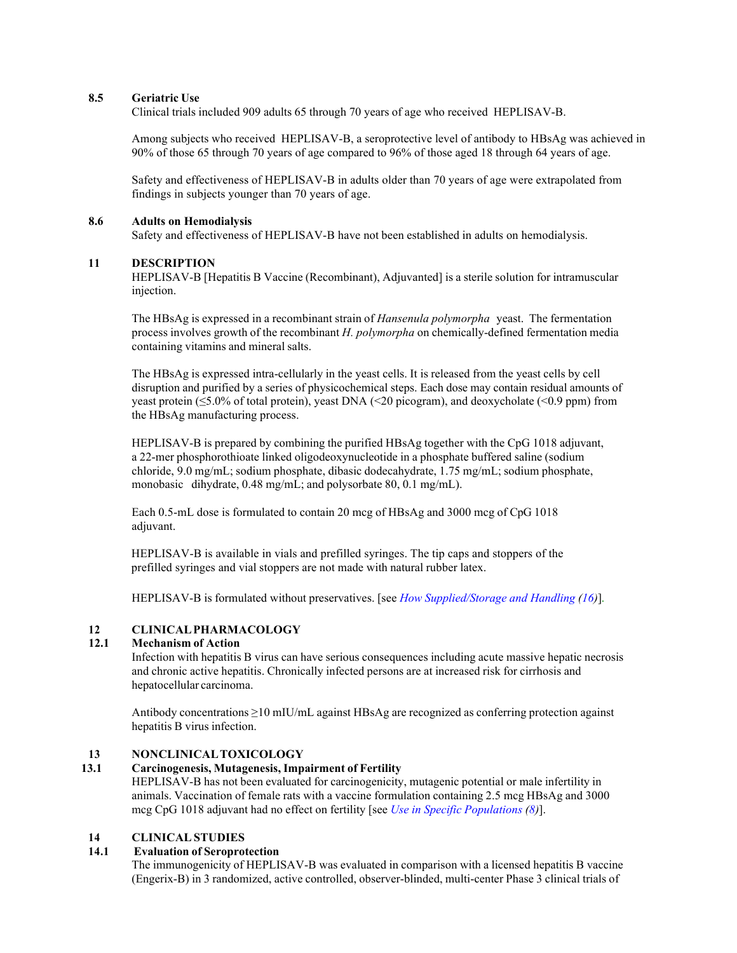## **8.5 Geriatric Use**

Clinical trials included 909 adults 65 through 70 years of age who received HEPLISAV-B.

Among subjects who received HEPLISAV-B, a seroprotective level of antibody to HBsAg was achieved in 90% of those 65 through 70 years of age compared to 96% of those aged 18 through 64 years of age.

Safety and effectiveness of HEPLISAV-B in adults older than 70 years of age were extrapolated from findings in subjects younger than 70 years of age.

#### **8.6 Adults on Hemodialysis**

Safety and effectiveness of HEPLISAV-B have not been established in adults on hemodialysis.

## **11 DESCRIPTION**

HEPLISAV-B [Hepatitis B Vaccine (Recombinant), Adjuvanted] is a sterile solution for intramuscular injection.

The HBsAg is expressed in a recombinant strain of *Hansenula polymorpha* yeast. The fermentation process involves growth of the recombinant *H. polymorpha* on chemically-defined fermentation media containing vitamins and mineral salts.

The HBsAg is expressed intra-cellularly in the yeast cells. It is released from the yeast cells by cell disruption and purified by a series of physicochemical steps. Each dose may contain residual amounts of yeast protein (≤5.0% of total protein), yeast DNA (<20 picogram), and deoxycholate (<0.9 ppm) from the HBsAg manufacturing process.

HEPLISAV-B is prepared by combining the purified HBsAg together with the CpG 1018 adjuvant, a 22-mer phosphorothioate linked oligodeoxynucleotide in a phosphate buffered saline (sodium chloride, 9.0 mg/mL; sodium phosphate, dibasic dodecahydrate, 1.75 mg/mL; sodium phosphate, monobasic dihydrate, 0.48 mg/mL; and polysorbate 80, 0.1 mg/mL).

Each 0.5-mL dose is formulated to contain 20 mcg of HBsAg and 3000 mcg of CpG 1018 adjuvant.

HEPLISAV-B is available in vials and prefilled syringes. The tip caps and stoppers of the prefilled syringes and vial stoppers are not made with natural rubber latex.

HEPLISAV-B is formulated without preservatives. [see *How Supplied/Storage and Handling (16)*]*.*

## **12 CLINICALPHARMACOLOGY**

## **12.1 Mechanism of Action**

Infection with hepatitis B virus can have serious consequences including acute massive hepatic necrosis and chronic active hepatitis. Chronically infected persons are at increased risk for cirrhosis and hepatocellular carcinoma.

Antibody concentrations ≥10 mIU/mL against HBsAg are recognized as conferring protection against hepatitis B virus infection.

# **13 NONCLINICALTOXICOLOGY**

#### **13.1 Carcinogenesis, Mutagenesis, Impairment of Fertility**

HEPLISAV-B has not been evaluated for carcinogenicity, mutagenic potential or male infertility in animals. Vaccination of female rats with a vaccine formulation containing 2.5 mcg HBsAg and 3000 mcg CpG 1018 adjuvant had no effect on fertility [see *Use in Specific Populations (8)*].

## **14 CLINICALSTUDIES**

#### **14.1 Evaluation of Seroprotection**

The immunogenicity of HEPLISAV-B was evaluated in comparison with a licensed hepatitis B vaccine (Engerix-B) in 3 randomized, active controlled, observer-blinded, multi-center Phase 3 clinical trials of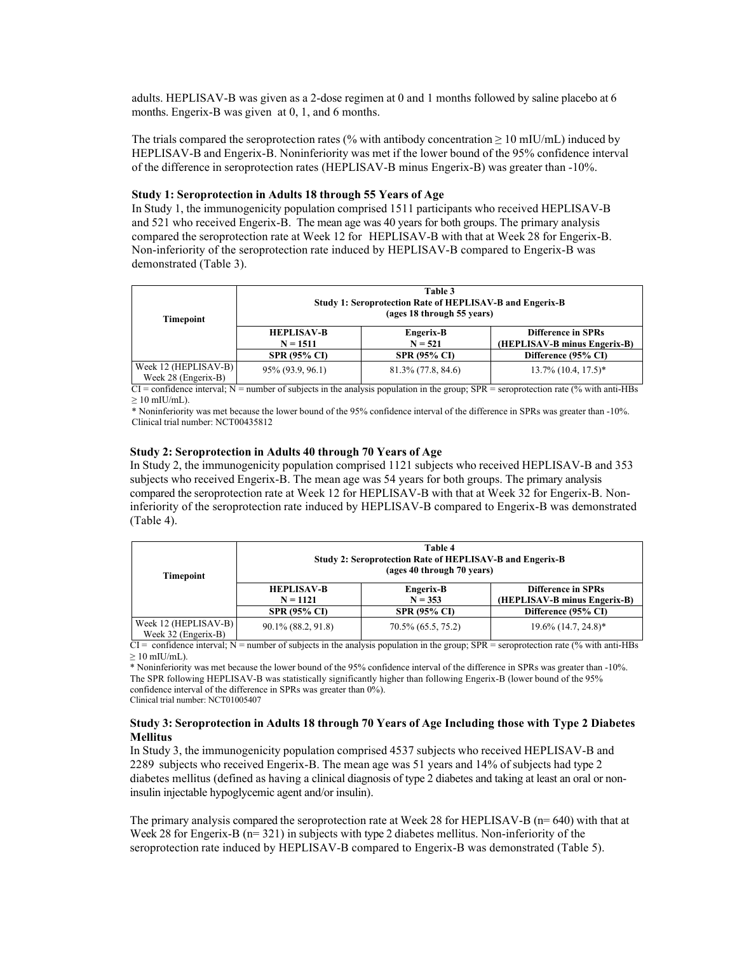adults. HEPLISAV-B was given as a 2-dose regimen at 0 and 1 months followed by saline placebo at 6 months. Engerix-B was given at 0, 1, and 6 months.

The trials compared the seroprotection rates (% with antibody concentration  $\geq 10$  mIU/mL) induced by HEPLISAV-B and Engerix-B. Noninferiority was met if the lower bound of the 95% confidence interval of the difference in seroprotection rates (HEPLISAV-B minus Engerix-B) was greater than -10%.

#### **Study 1: Seroprotection in Adults 18 through 55 Years of Age**

In Study 1, the immunogenicity population comprised 1511 participants who received HEPLISAV-B and 521 who received Engerix-B. The mean age was 40 years for both groups. The primary analysis compared the seroprotection rate at Week 12 for HEPLISAV-B with that at Week 28 for Engerix-B. Non-inferiority of the seroprotection rate induced by HEPLISAV-B compared to Engerix-B was demonstrated (Table 3).

| <b>Timepoint</b>                            | Table 3<br>Study 1: Seroprotection Rate of HEPLISAV-B and Engerix-B<br>(ages 18 through 55 years) |                        |                                                           |  |
|---------------------------------------------|---------------------------------------------------------------------------------------------------|------------------------|-----------------------------------------------------------|--|
|                                             | <b>HEPLISAV-B</b><br>$N = 1511$                                                                   | Engerix-B<br>$N = 521$ | <b>Difference in SPRs</b><br>(HEPLISAV-B minus Engerix-B) |  |
|                                             | <b>SPR (95% CI)</b>                                                                               | <b>SPR (95% CI)</b>    | Difference (95% CI)                                       |  |
| Week 12 (HEPLISAV-B)<br>Week 28 (Engerix-B) | 95% (93.9, 96.1)                                                                                  | $81.3\%$ (77.8, 84.6)  | $13.7\%$ (10.4, 17.5)*                                    |  |

 $\overline{CI}$  = confidence interval; N = number of subjects in the analysis population in the group; SPR = seroprotection rate (% with anti-HBs  $> 10$  mIU/mL).

\* Noninferiority was met because the lower bound of the 95% confidence interval of the difference in SPRs was greater than -10%. Clinical trial number: NCT00435812

#### **Study 2: Seroprotection in Adults 40 through 70 Years of Age**

In Study 2, the immunogenicity population comprised 1121 subjects who received HEPLISAV-B and 353 subjects who received Engerix-B. The mean age was 54 years for both groups. The primary analysis compared the seroprotection rate at Week 12 for HEPLISAV-B with that at Week 32 for Engerix-B. Noninferiority of the seroprotection rate induced by HEPLISAV-B compared to Engerix-B was demonstrated (Table 4).

| <b>Timepoint</b>                              | Table 4<br>Study 2: Seroprotection Rate of HEPLISAV-B and Engerix-B<br>(ages 40 through 70 years) |                        |                                                           |  |
|-----------------------------------------------|---------------------------------------------------------------------------------------------------|------------------------|-----------------------------------------------------------|--|
|                                               | <b>HEPLISAV-B</b><br>$N = 1121$                                                                   | Engerix-B<br>$N = 353$ | <b>Difference in SPRs</b><br>(HEPLISAV-B minus Engerix-B) |  |
|                                               | <b>SPR (95% CI)</b>                                                                               | <b>SPR (95% CI)</b>    | Difference (95% CI)                                       |  |
| Week $12$ (HEPLISAV-B)<br>Week 32 (Engerix-B) | 90.1% (88.2, 91.8)                                                                                | $70.5\%$ (65.5, 75.2)  | $19.6\%$ (14.7, 24.8)*                                    |  |

 $CI =$  confidence interval;  $N =$  number of subjects in the analysis population in the group;  $SPR =$  seroprotection rate (% with anti-HBs  $\geq 10$  mIU/mL).

\* Noninferiority was met because the lower bound of the 95% confidence interval of the difference in SPRs was greater than -10%. The SPR following HEPLISAV-B was statistically significantly higher than following Engerix-B (lower bound of the 95% confidence interval of the difference in SPRs was greater than 0%).

Clinical trial number: NCT01005407

### **Study 3: Seroprotection in Adults 18 through 70 Years of Age Including those with Type 2 Diabetes Mellitus**

In Study 3, the immunogenicity population comprised 4537 subjects who received HEPLISAV-B and 2289 subjects who received Engerix-B. The mean age was 51 years and 14% of subjects had type 2 diabetes mellitus (defined as having a clinical diagnosis of type 2 diabetes and taking at least an oral or noninsulin injectable hypoglycemic agent and/or insulin).

The primary analysis compared the seroprotection rate at Week 28 for HEPLISAV-B (n= 640) with that at Week 28 for Engerix-B (n= 321) in subjects with type 2 diabetes mellitus. Non-inferiority of the seroprotection rate induced by HEPLISAV-B compared to Engerix-B was demonstrated (Table 5).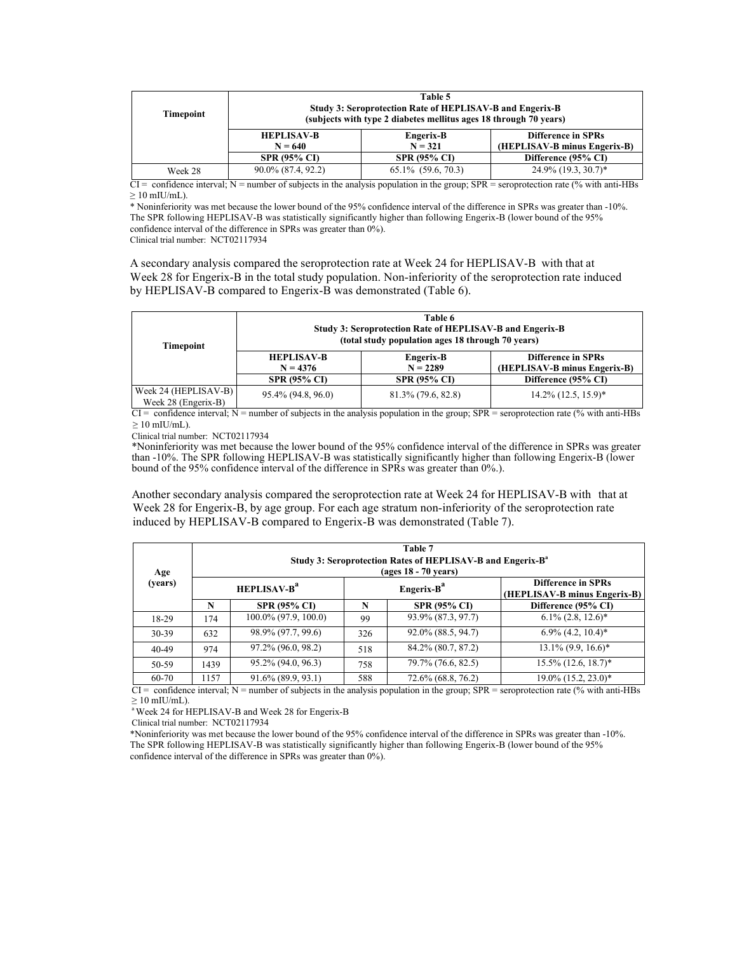| <b>Timepoint</b> | Table 5<br>Study 3: Seroprotection Rate of HEPLISAV-B and Engerix-B<br>(subjects with type 2 diabetes mellitus ages 18 through 70 years) |                         |                                                           |  |
|------------------|------------------------------------------------------------------------------------------------------------------------------------------|-------------------------|-----------------------------------------------------------|--|
|                  | <b>HEPLISAV-B</b><br>Engerix-B<br>$N = 321$<br>$N = 640$                                                                                 |                         | <b>Difference in SPRs</b><br>(HEPLISAV-B minus Engerix-B) |  |
|                  | <b>SPR (95% CI)</b>                                                                                                                      | <b>SPR (95% CI)</b>     | Difference (95% CI)                                       |  |
| Week 28          | 90.0% (87.4, 92.2)                                                                                                                       | $65.1\%$ $(59.6, 70.3)$ | $24.9\%$ (19.3, 30.7)*                                    |  |

 $\overline{CI}$  = confidence interval; N = number of subjects in the analysis population in the group; SPR = seroprotection rate (% with anti-HBs  $> 10$  mIU/mL).

\* Noninferiority was met because the lower bound of the 95% confidence interval of the difference in SPRs was greater than -10%. The SPR following HEPLISAV-B was statistically significantly higher than following Engerix-B (lower bound of the 95% confidence interval of the difference in SPRs was greater than 0%).

Clinical trial number: NCT02117934

A secondary analysis compared the seroprotection rate at Week 24 for HEPLISAV-B with that at Week 28 for Engerix-B in the total study population. Non-inferiority of the seroprotection rate induced by HEPLISAV-B compared to Engerix-B was demonstrated (Table 6).

| <b>Timepoint</b>                            | Table 6<br>Study 3: Seroprotection Rate of HEPLISAV-B and Engerix-B<br>(total study population ages 18 through 70 years) |                         |                                                           |  |
|---------------------------------------------|--------------------------------------------------------------------------------------------------------------------------|-------------------------|-----------------------------------------------------------|--|
|                                             | <b>HEPLISAV-B</b><br>$N = 4376$                                                                                          | Engerix-B<br>$N = 2289$ | <b>Difference in SPRs</b><br>(HEPLISAV-B minus Engerix-B) |  |
|                                             | <b>SPR (95% CI)</b>                                                                                                      | <b>SPR (95% CI)</b>     | Difference (95% CI)                                       |  |
| Week 24 (HEPLISAV-B)<br>Week 28 (Engerix-B) | 95.4% (94.8, 96.0)                                                                                                       | 81.3% (79.6, 82.8)      | $14.2\%$ (12.5, 15.9)*                                    |  |

 $\overline{CI}$  = confidence interval; N = number of subjects in the analysis population in the group; SPR = seroprotection rate (% with anti-HBs  $> 10$  mIU/mL).

Clinical trial number: NCT02117934

\*Noninferiority was met because the lower bound of the 95% confidence interval of the difference in SPRs was greater than -10%. The SPR following HEPLISAV-B was statistically significantly higher than following Engerix-B (lower bound of the 95% confidence interval of the difference in SPRs was greater than 0%.).

Another secondary analysis compared the seroprotection rate at Week 24 for HEPLISAV-B with that at Week 28 for Engerix-B, by age group. For each age stratum non-inferiority of the seroprotection rate induced by HEPLISAV-B compared to Engerix-B was demonstrated (Table 7).

| Age     |      | Table 7<br>Study 3: Seroprotection Rates of HEPLISAV-B and Engerix-B <sup>a</sup><br>(ages 18 - 70 years) |     |                        |                                                           |  |
|---------|------|-----------------------------------------------------------------------------------------------------------|-----|------------------------|-----------------------------------------------------------|--|
| (years) |      | <b>HEPLISAV-B<sup>a</sup></b>                                                                             |     | Engerix-B <sup>a</sup> | <b>Difference in SPRs</b><br>(HEPLISAV-B minus Engerix-B) |  |
|         | N    | <b>SPR (95% CI)</b>                                                                                       | N   | <b>SPR (95% CI)</b>    | Difference (95% CI)                                       |  |
| 18-29   | 174  | $100.0\%$ (97.9, 100.0)                                                                                   | 99  | 93.9% (87.3, 97.7)     | $6.1\%$ (2.8, 12.6)*                                      |  |
| 30-39   | 632  | 98.9% (97.7, 99.6)                                                                                        | 326 | 92.0% (88.5, 94.7)     | $6.9\%$ (4.2, 10.4)*                                      |  |
| 40-49   | 974  | 97.2% (96.0, 98.2)                                                                                        | 518 | 84.2% (80.7, 87.2)     | $13.1\%$ (9.9, 16.6)*                                     |  |
| 50-59   | 1439 | 95.2% (94.0, 96.3)                                                                                        | 758 | 79.7% (76.6, 82.5)     | $15.5\%$ (12.6, 18.7)*                                    |  |
| 60-70   | 1157 | 91.6% (89.9, 93.1)                                                                                        | 588 | 72.6% (68.8, 76.2)     | $19.0\%$ $(15.2, 23.0)^*$                                 |  |

 $CI =$  confidence interval;  $N =$  number of subjects in the analysis population in the group;  $SPR =$  seroprotection rate (% with anti-HBs)  $\geq 10$  mIU/mL).

<sup>a</sup> Week 24 for HEPLISAV-B and Week 28 for Engerix-B

Clinical trial number: NCT02117934

\*Noninferiority was met because the lower bound of the 95% confidence interval of the difference in SPRs was greater than -10%. The SPR following HEPLISAV-B was statistically significantly higher than following Engerix-B (lower bound of the 95% confidence interval of the difference in SPRs was greater than 0%).